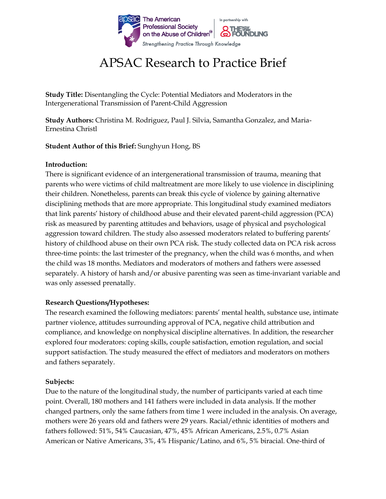

# APSAC Research to Practice Brief

**Study Title:** Disentangling the Cycle: Potential Mediators and Moderators in the Intergenerational Transmission of Parent-Child Aggression

**Study Authors:** Christina M. Rodriguez, Paul J. Silvia, Samantha Gonzalez, and Maria-Ernestina Christl

**Student Author of this Brief:** Sunghyun Hong, BS

### **Introduction:**

There is significant evidence of an intergenerational transmission of trauma, meaning that parents who were victims of child maltreatment are more likely to use violence in disciplining their children. Nonetheless, parents can break this cycle of violence by gaining alternative disciplining methods that are more appropriate. This longitudinal study examined mediators that link parents' history of childhood abuse and their elevated parent-child aggression (PCA) risk as measured by parenting attitudes and behaviors, usage of physical and psychological aggression toward children. The study also assessed moderators related to buffering parents' history of childhood abuse on their own PCA risk. The study collected data on PCA risk across three-time points: the last trimester of the pregnancy, when the child was 6 months, and when the child was 18 months. Mediators and moderators of mothers and fathers were assessed separately. A history of harsh and/or abusive parenting was seen as time-invariant variable and was only assessed prenatally.

#### **Research Questions/Hypotheses:**

The research examined the following mediators: parents' mental health, substance use, intimate partner violence, attitudes surrounding approval of PCA, negative child attribution and compliance, and knowledge on nonphysical discipline alternatives. In addition, the researcher explored four moderators: coping skills, couple satisfaction, emotion regulation, and social support satisfaction. The study measured the effect of mediators and moderators on mothers and fathers separately.

#### **Subjects:**

Due to the nature of the longitudinal study, the number of participants varied at each time point. Overall, 180 mothers and 141 fathers were included in data analysis. If the mother changed partners, only the same fathers from time 1 were included in the analysis. On average, mothers were 26 years old and fathers were 29 years. Racial/ethnic identities of mothers and fathers followed: 51%, 54% Caucasian, 47%, 45% African Americans, 2.5%, 0.7% Asian American or Native Americans, 3%, 4% Hispanic/Latino, and 6%, 5% biracial. One-third of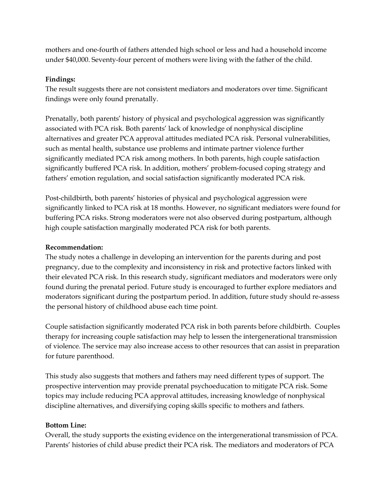mothers and one-fourth of fathers attended high school or less and had a household income under \$40,000. Seventy-four percent of mothers were living with the father of the child.

## **Findings:**

The result suggests there are not consistent mediators and moderators over time. Significant findings were only found prenatally.

Prenatally, both parents' history of physical and psychological aggression was significantly associated with PCA risk. Both parents' lack of knowledge of nonphysical discipline alternatives and greater PCA approval attitudes mediated PCA risk. Personal vulnerabilities, such as mental health, substance use problems and intimate partner violence further significantly mediated PCA risk among mothers. In both parents, high couple satisfaction significantly buffered PCA risk. In addition, mothers' problem-focused coping strategy and fathers' emotion regulation, and social satisfaction significantly moderated PCA risk.

Post-childbirth, both parents' histories of physical and psychological aggression were significantly linked to PCA risk at 18 months. However, no significant mediators were found for buffering PCA risks. Strong moderators were not also observed during postpartum, although high couple satisfaction marginally moderated PCA risk for both parents.

# **Recommendation:**

The study notes a challenge in developing an intervention for the parents during and post pregnancy, due to the complexity and inconsistency in risk and protective factors linked with their elevated PCA risk. In this research study, significant mediators and moderators were only found during the prenatal period. Future study is encouraged to further explore mediators and moderators significant during the postpartum period. In addition, future study should re-assess the personal history of childhood abuse each time point.

Couple satisfaction significantly moderated PCA risk in both parents before childbirth. Couples therapy for increasing couple satisfaction may help to lessen the intergenerational transmission of violence. The service may also increase access to other resources that can assist in preparation for future parenthood.

This study also suggests that mothers and fathers may need different types of support. The prospective intervention may provide prenatal psychoeducation to mitigate PCA risk. Some topics may include reducing PCA approval attitudes, increasing knowledge of nonphysical discipline alternatives, and diversifying coping skills specific to mothers and fathers.

# **Bottom Line:**

Overall, the study supports the existing evidence on the intergenerational transmission of PCA. Parents' histories of child abuse predict their PCA risk. The mediators and moderators of PCA